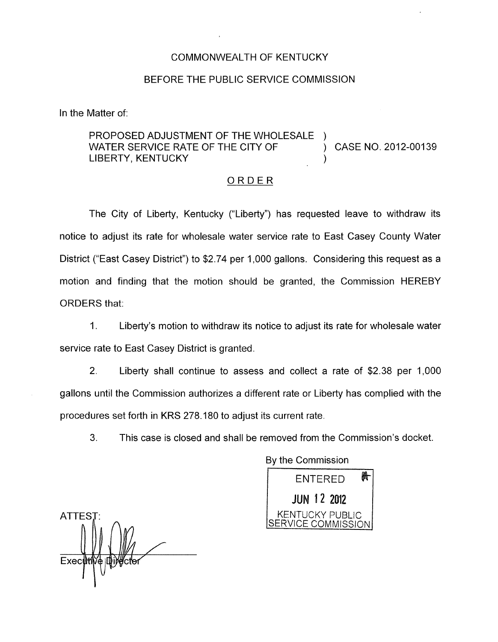## COMMONWEALTH OF KENTUCKY

## BEFORE THE PUBLIC SERVICE COMMISSION

In the Matter of:

## PROPOSED ADJUSTMENT OF THE WHOLESALE LIBERTY, KENTUCKY WATER SERVICE RATE OF THE CITY OF (2012-00139)

## ORDER

The City of Liberty, Kentucky ("Liberty") has requested leave to withdraw its notice to adjust its rate for wholesale water service rate to East Casey County Water District ("East Casey District") to \$2.74 per 1,000 gallons. Considering this request as a motion and finding that the motion should be granted, the Commission HEREBY ORDERS that:

1. Liberty's motion to withdraw its notice to adjust its rate for wholesale water service rate to East Casey District is granted.

2. Liberty shall continue to assess and collect a rate of \$2.38 per 1,000 gallons until the Commission authorizes a different rate or Liberty has complied with the procedures set forth in KRS 278.180 to adjust its current rate.

3. This case is closed and shall be removed from the Commission's docket.

By the Commission 晩 ENTERED **JUN 12 2012** SERVICE COMMISSION

ATTEST: NENTUCKY PUBLIC Exec**tt**tMo